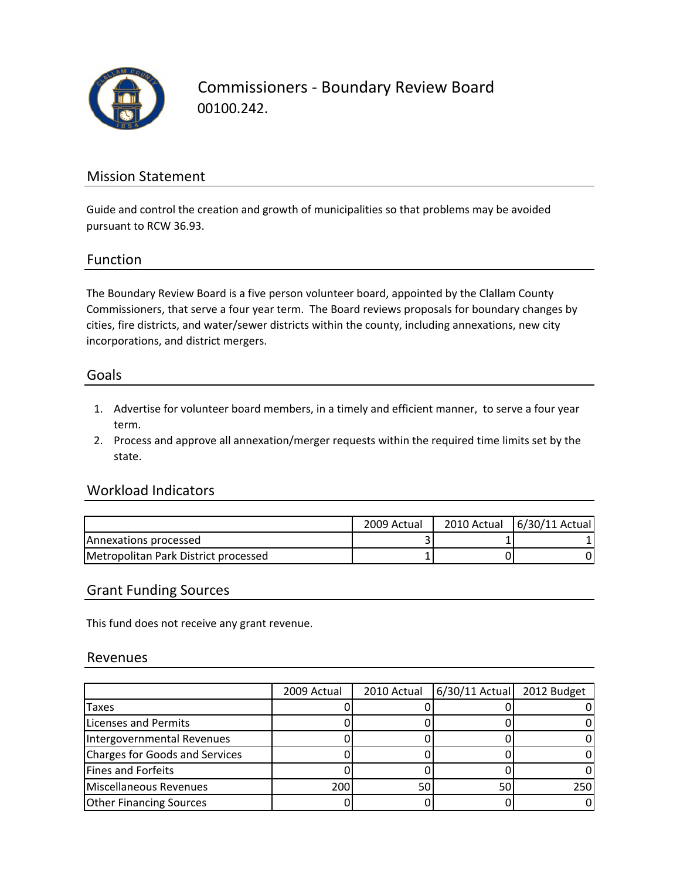

Commissioners ‐ Boundary Review Board 00100.242.

### Mission Statement

Guide and control the creation and growth of municipalities so that problems may be avoided pursuant to RCW 36.93.

#### Function

The Boundary Review Board is a five person volunteer board, appointed by the Clallam County Commissioners, that serve a four year term. The Board reviews proposals for boundary changes by cities, fire districts, and water/sewer districts within the county, including annexations, new city incorporations, and district mergers.

#### Goals

- 1. Advertise for volunteer board members, in a timely and efficient manner, to serve a four year term.
- 2. Process and approve all annexation/merger requests within the required time limits set by the state.

#### Workload Indicators

|                                      | 2009 Actual | 2010 Actual | 6/30/11 Actual |
|--------------------------------------|-------------|-------------|----------------|
| Annexations processed                |             |             |                |
| Metropolitan Park District processed |             |             |                |

#### Grant Funding Sources

This fund does not receive any grant revenue.

#### Revenues

|                                | 2009 Actual | 2010 Actual | 6/30/11 Actual | 2012 Budget |
|--------------------------------|-------------|-------------|----------------|-------------|
| Taxes                          |             |             |                |             |
| <b>Licenses and Permits</b>    |             |             |                |             |
| Intergovernmental Revenues     |             |             |                |             |
| Charges for Goods and Services |             |             |                |             |
| Fines and Forfeits             |             |             |                |             |
| Miscellaneous Revenues         | 200         | 50          | 50             | 250         |
| <b>Other Financing Sources</b> |             |             |                |             |